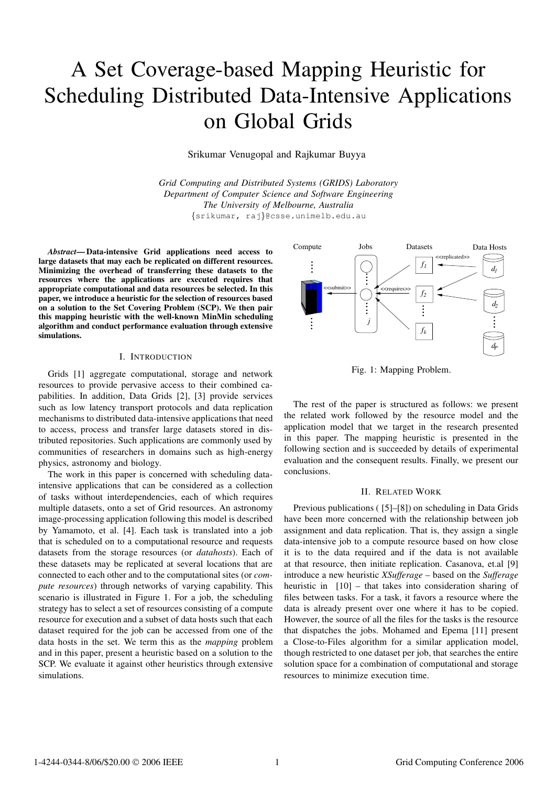# A Set Coverage-based Mapping Heuristic for Scheduling Distributed Data-Intensive Applications on Global Grids

Srikumar Venugopal and Rajkumar Buyya

*Grid Computing and Distributed Systems (GRIDS) Laboratory Department of Computer Science and Software Engineering The University of Melbourne, Australia* {srikumar, raj}@csse.unimelb.edu.au

*Abstract***— Data-intensive Grid applications need access to large datasets that may each be replicated on different resources. Minimizing the overhead of transferring these datasets to the resources where the applications are executed requires that appropriate computational and data resources be selected. In this paper, we introduce a heuristic for the selection of resources based on a solution to the Set Covering Problem (SCP). We then pair this mapping heuristic with the well-known MinMin scheduling algorithm and conduct performance evaluation through extensive simulations.**

#### I. INTRODUCTION

Grids [1] aggregate computational, storage and network resources to provide pervasive access to their combined capabilities. In addition, Data Grids [2], [3] provide services such as low latency transport protocols and data replication mechanisms to distributed data-intensive applications that need to access, process and transfer large datasets stored in distributed repositories. Such applications are commonly used by communities of researchers in domains such as high-energy physics, astronomy and biology.

The work in this paper is concerned with scheduling dataintensive applications that can be considered as a collection of tasks without interdependencies, each of which requires multiple datasets, onto a set of Grid resources. An astronomy image-processing application following this model is described by Yamamoto, et al. [4]. Each task is translated into a job that is scheduled on to a computational resource and requests datasets from the storage resources (or *datahosts*). Each of these datasets may be replicated at several locations that are connected to each other and to the computational sites (or *compute resources*) through networks of varying capability. This scenario is illustrated in Figure 1. For a job, the scheduling strategy has to select a set of resources consisting of a compute resource for execution and a subset of data hosts such that each dataset required for the job can be accessed from one of the data hosts in the set. We term this as the *mapping* problem and in this paper, present a heuristic based on a solution to the SCP. We evaluate it against other heuristics through extensive simulations.



Fig. 1: Mapping Problem.

The rest of the paper is structured as follows: we present the related work followed by the resource model and the application model that we target in the research presented in this paper. The mapping heuristic is presented in the following section and is succeeded by details of experimental evaluation and the consequent results. Finally, we present our conclusions.

#### II. RELATED WORK

Previous publications ( [5]–[8]) on scheduling in Data Grids have been more concerned with the relationship between job assignment and data replication. That is, they assign a single data-intensive job to a compute resource based on how close it is to the data required and if the data is not available at that resource, then initiate replication. Casanova, et.al [9] introduce a new heuristic *XSufferage* – based on the *Sufferage* heuristic in [10] – that takes into consideration sharing of files between tasks. For a task, it favors a resource where the data is already present over one where it has to be copied. However, the source of all the files for the tasks is the resource that dispatches the jobs. Mohamed and Epema [11] present a Close-to-Files algorithm for a similar application model, though restricted to one dataset per job, that searches the entire solution space for a combination of computational and storage resources to minimize execution time.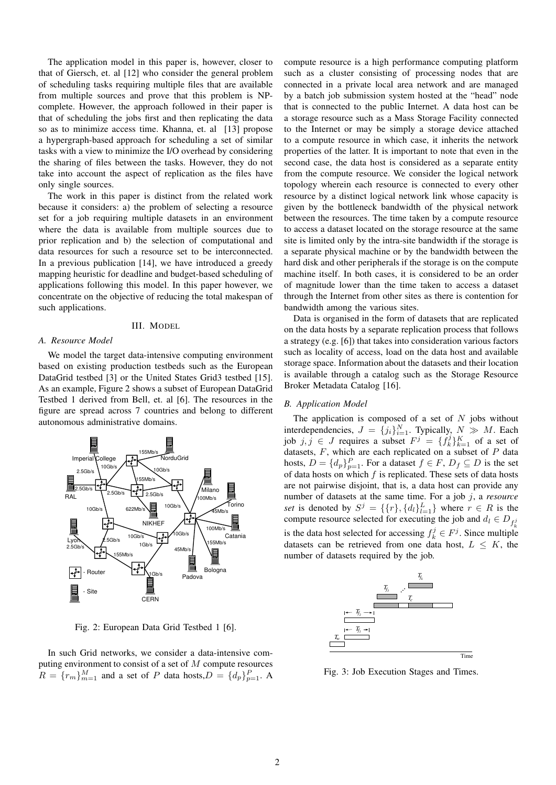The application model in this paper is, however, closer to that of Giersch, et. al [12] who consider the general problem of scheduling tasks requiring multiple files that are available from multiple sources and prove that this problem is NPcomplete. However, the approach followed in their paper is that of scheduling the jobs first and then replicating the data so as to minimize access time. Khanna, et. al [13] propose a hypergraph-based approach for scheduling a set of similar tasks with a view to minimize the I/O overhead by considering the sharing of files between the tasks. However, they do not take into account the aspect of replication as the files have only single sources.

The work in this paper is distinct from the related work because it considers: a) the problem of selecting a resource set for a job requiring multiple datasets in an environment where the data is available from multiple sources due to prior replication and b) the selection of computational and data resources for such a resource set to be interconnected. In a previous publication [14], we have introduced a greedy mapping heuristic for deadline and budget-based scheduling of applications following this model. In this paper however, we concentrate on the objective of reducing the total makespan of such applications.

## III. MODEL

# *A. Resource Model*

We model the target data-intensive computing environment based on existing production testbeds such as the European DataGrid testbed [3] or the United States Grid3 testbed [15]. As an example, Figure 2 shows a subset of European DataGrid Testbed 1 derived from Bell, et. al [6]. The resources in the figure are spread across 7 countries and belong to different autonomous administrative domains.



Fig. 2: European Data Grid Testbed 1 [6].

In such Grid networks, we consider a data-intensive computing environment to consist of a set of M compute resources  $R = {r_m}_{m=1}^M$  and a set of P data hosts, $D = {d_p}_{p=1}^P$ . A

compute resource is a high performance computing platform such as a cluster consisting of processing nodes that are connected in a private local area network and are managed by a batch job submission system hosted at the "head" node that is connected to the public Internet. A data host can be a storage resource such as a Mass Storage Facility connected to the Internet or may be simply a storage device attached to a compute resource in which case, it inherits the network properties of the latter. It is important to note that even in the second case, the data host is considered as a separate entity from the compute resource. We consider the logical network topology wherein each resource is connected to every other resource by a distinct logical network link whose capacity is given by the bottleneck bandwidth of the physical network between the resources. The time taken by a compute resource to access a dataset located on the storage resource at the same site is limited only by the intra-site bandwidth if the storage is a separate physical machine or by the bandwidth between the hard disk and other peripherals if the storage is on the compute machine itself. In both cases, it is considered to be an order of magnitude lower than the time taken to access a dataset through the Internet from other sites as there is contention for bandwidth among the various sites.

Data is organised in the form of datasets that are replicated on the data hosts by a separate replication process that follows a strategy (e.g. [6]) that takes into consideration various factors such as locality of access, load on the data host and available storage space. Information about the datasets and their location is available through a catalog such as the Storage Resource Broker Metadata Catalog [16].

## *B. Application Model*

The application is composed of a set of  $N$  jobs without interdependencies,  $J = \{j_i\}_{i=1}^N$ . Typically,  $N \gg M$ . Each job  $j, j \in J$  requires a subset  $F^j = \{f^j_k\}_{k=1}^K$  of a set of datasets,  $F$ , which are each replicated on a subset of  $P$  data hosts,  $D = \{d_p\}_{p=1}^P$ . For a dataset  $f \in F$ ,  $D_f \subseteq D$  is the set of data hosts on which  $f$  is replicated. These sets of data hosts are not pairwise disjoint, that is, a data host can provide any number of datasets at the same time. For a job j, a *resource set* is denoted by  $S^j = \{\{r\}, \{d_l\}_{l=1}^L\}$  where  $r \in R$  is the compute resource selected for executing the job and  $d_l \in D_{f_k}$ is the data host selected for accessing  $f_k^j \in F^j$ . Since multiple datasets can be retrieved from one data host,  $L \leq K$ , the number of datasets required by the job.



Fig. 3: Job Execution Stages and Times.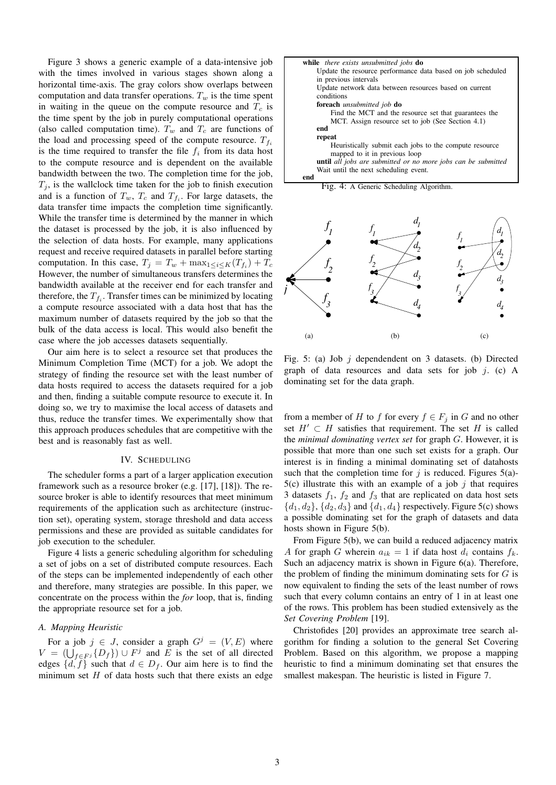Figure 3 shows a generic example of a data-intensive job with the times involved in various stages shown along a horizontal time-axis. The gray colors show overlaps between computation and data transfer operations.  $T_w$  is the time spent in waiting in the queue on the compute resource and  $T_c$  is the time spent by the job in purely computational operations (also called computation time).  $T_w$  and  $T_c$  are functions of the load and processing speed of the compute resource.  $T_{f_i}$ is the time required to transfer the file  $f_i$  from its data host to the compute resource and is dependent on the available bandwidth between the two. The completion time for the job,  $T_i$ , is the wallclock time taken for the job to finish execution and is a function of  $T_w$ ,  $T_c$  and  $T_{f_i}$ . For large datasets, the data transfer time impacts the completion time significantly. While the transfer time is determined by the manner in which the dataset is processed by the job, it is also influenced by the selection of data hosts. For example, many applications request and receive required datasets in parallel before starting computation. In this case,  $T_i = T_w + \max_{1 \leq i \leq K} (T_{f_i}) + T_c$ However, the number of simultaneous transfers determines the bandwidth available at the receiver end for each transfer and therefore, the  $T_{f_i}$ . Transfer times can be minimized by locating a compute resource associated with a data host that has the maximum number of datasets required by the job so that the bulk of the data access is local. This would also benefit the case where the job accesses datasets sequentially.

Our aim here is to select a resource set that produces the Minimum Completion Time (MCT) for a job. We adopt the strategy of finding the resource set with the least number of data hosts required to access the datasets required for a job and then, finding a suitable compute resource to execute it. In doing so, we try to maximise the local access of datasets and thus, reduce the transfer times. We experimentally show that this approach produces schedules that are competitive with the best and is reasonably fast as well.

## IV. SCHEDULING

The scheduler forms a part of a larger application execution framework such as a resource broker (e.g. [17], [18]). The resource broker is able to identify resources that meet minimum requirements of the application such as architecture (instruction set), operating system, storage threshold and data access permissions and these are provided as suitable candidates for job execution to the scheduler.

Figure 4 lists a generic scheduling algorithm for scheduling a set of jobs on a set of distributed compute resources. Each of the steps can be implemented independently of each other and therefore, many strategies are possible. In this paper, we concentrate on the process within the *for* loop, that is, finding the appropriate resource set for a job.

## *A. Mapping Heuristic*

For a job  $j \in J$ , consider a graph  $G^j = (V, E)$  where  $V = (\bigcup_{f \in F^j} \{D_f\}) \cup F^j$  and E is the set of all directed edges  $\{d, f\}$  such that  $d \in D_f$ . Our aim here is to find the minimum set  $H$  of data hosts such that there exists an edge



Fig. 4: A Generic Scheduling Algorithm.



Fig. 5: (a) Job  $j$  dependendent on 3 datasets. (b) Directed graph of data resources and data sets for job  $j$ . (c) A dominating set for the data graph.

from a member of H to f for every  $f \in F_i$  in G and no other set  $H' \subset H$  satisfies that requirement. The set H is called the *minimal dominating vertex set* for graph G. However, it is possible that more than one such set exists for a graph. Our interest is in finding a minimal dominating set of datahosts such that the completion time for j is reduced. Figures  $5(a)$ - $5(c)$  illustrate this with an example of a job j that requires 3 datasets  $f_1$ ,  $f_2$  and  $f_3$  that are replicated on data host sets  $\{d_1, d_2\}$ ,  $\{d_2, d_3\}$  and  $\{d_1, d_4\}$  respectively. Figure 5(c) shows a possible dominating set for the graph of datasets and data hosts shown in Figure 5(b).

From Figure 5(b), we can build a reduced adjacency matrix A for graph G wherein  $a_{ik} = 1$  if data host  $d_i$  contains  $f_k$ . Such an adjacency matrix is shown in Figure 6(a). Therefore, the problem of finding the minimum dominating sets for  $G$  is now equivalent to finding the sets of the least number of rows such that every column contains an entry of 1 in at least one of the rows. This problem has been studied extensively as the *Set Covering Problem* [19].

Christofides [20] provides an approximate tree search algorithm for finding a solution to the general Set Covering Problem. Based on this algorithm, we propose a mapping heuristic to find a minimum dominating set that ensures the smallest makespan. The heuristic is listed in Figure 7.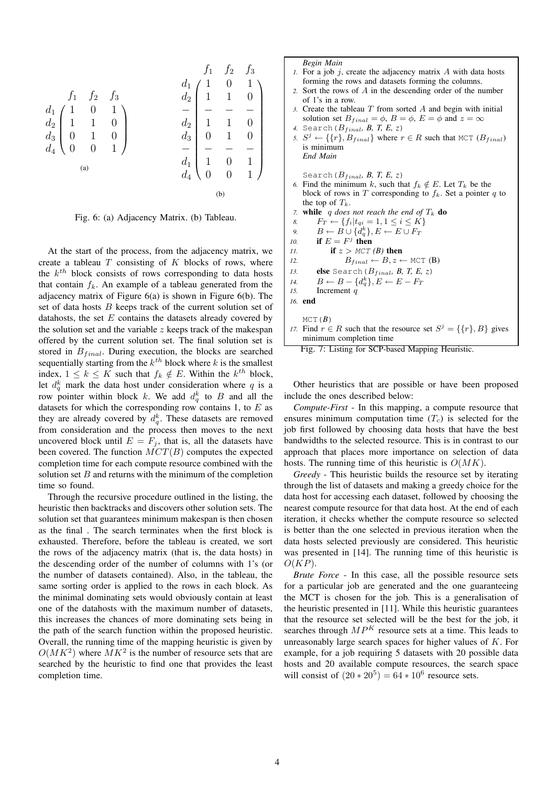$$
\begin{array}{cccc}\nf_1 & f_2 & f_3 \\
d_1 & 1 & 0 & 1 \\
d_2 & 1 & 1 & 0 \\
d_3 & 0 & 1 & 0 \\
a_4 & 0 & 0 & 1\n\end{array}\n\qquad\n\begin{array}{c}\nf_1 & f_2 & f_3 \\
d_2 & 1 & 1 & 0 \\
d_2 & 1 & 1 & 0 \\
d_3 & 0 & 1 & 0 \\
d_4 & 1 & 0 & 1 \\
d_4 & 0 & 0 & 1\n\end{array}
$$
\n
$$
\begin{array}{c}\nf_1 & f_2 & f_3 \\
d_2 & 1 & 1 & 0 \\
d_3 & 0 & 1 & 0 \\
d_4 & 1 & 0 & 1 \\
d_5 & 0 & 1 & 0 \\
d_6 & 0 & 1 & 0\n\end{array}
$$

Fig. 6: (a) Adjacency Matrix. (b) Tableau.

At the start of the process, from the adjacency matrix, we create a tableau  $T$  consisting of  $K$  blocks of rows, where the  $k^{th}$  block consists of rows corresponding to data hosts that contain  $f_k$ . An example of a tableau generated from the adjacency matrix of Figure 6(a) is shown in Figure 6(b). The set of data hosts  $B$  keeps track of the current solution set of datahosts, the set  $E$  contains the datasets already covered by the solution set and the variable  $z$  keeps track of the makespan offered by the current solution set. The final solution set is stored in  $B_{final}$ . During execution, the blocks are searched sequentially starting from the  $k^{th}$  block where k is the smallest index,  $1 \leq k \leq K$  such that  $f_k \notin E$ . Within the  $k^{th}$  block, let  $d_q^k$  mark the data host under consideration where q is a row pointer within block k. We add  $d_q^k$  to B and all the datasets for which the corresponding row contains  $1$ , to  $E$  as they are already covered by  $d_q^k$ . These datasets are removed from consideration and the process then moves to the next uncovered block until  $E = F_i$ , that is, all the datasets have been covered. The function  $MCT(B)$  computes the expected completion time for each compute resource combined with the solution set  $B$  and returns with the minimum of the completion time so found.

Through the recursive procedure outlined in the listing, the heuristic then backtracks and discovers other solution sets. The solution set that guarantees minimum makespan is then chosen as the final . The search terminates when the first block is exhausted. Therefore, before the tableau is created, we sort the rows of the adjacency matrix (that is, the data hosts) in the descending order of the number of columns with 1's (or the number of datasets contained). Also, in the tableau, the same sorting order is applied to the rows in each block. As the minimal dominating sets would obviously contain at least one of the datahosts with the maximum number of datasets, this increases the chances of more dominating sets being in the path of the search function within the proposed heuristic. Overall, the running time of the mapping heuristic is given by  $O(MK^2)$  where  $MK^2$  is the number of resource sets that are searched by the heuristic to find one that provides the least completion time.

*Begin Main*

- *1.* For a job  $j$ , create the adjacency matrix  $A$  with data hosts forming the rows and datasets forming the columns.
- *2.* Sort the rows of A in the descending order of the number of 1's in a row.
- *3.* Create the tableau T from sorted A and begin with initial solution set  $B_{final} = \phi$ ,  $B = \phi$ ,  $E = \phi$  and  $z = \infty$
- *4.* Search ( $B_{final}$ , B, T, E, z)
- 5.  $S^j \leftarrow \{\{r\}, B_{final}\}$  where  $r \in R$  such that MCT ( $B_{final}$ ) is minimum *End Main*

Search( $B_{final}$ , B, T, E, z)

- 6. Find the minimum k, such that  $f_k \notin E$ . Let  $T_k$  be the block of rows in T corresponding to  $f_k$ . Set a pointer q to the top of  $T_k$ .
- *7.* **while**  $q$  *does not reach the end of*  $T_k$  **do**
- *8.*  $F_T \leftarrow \{f_i | t_{qi} = 1, 1 \leq i \leq K\}$
- 9.  $B \leftarrow B \cup \{d_q^k\}, E \leftarrow E \cup F_T$
- *if*  $E = F^j$  **then**
- *11.* **if**  $z > MCT$  *(B)* **then**
- *12.*  $B_{final} \leftarrow B, z \leftarrow MCT \text{ (B)}$
- *13.* **else** Search( $B_{final}$ , B, T, E, z)
- 14.  $B \leftarrow B \{d_q^k\}, E \leftarrow E F_T$ <br>15. Increment *a*
- Increment q

*16.* **end**

- $MCT(B)$
- 17. Find  $r \in R$  such that the resource set  $S^j = \{ \{r\}, B \}$  gives minimum completion time



Other heuristics that are possible or have been proposed include the ones described below:

*Compute-First* - In this mapping, a compute resource that ensures minimum computation time  $(T_c)$  is selected for the job first followed by choosing data hosts that have the best bandwidths to the selected resource. This is in contrast to our approach that places more importance on selection of data hosts. The running time of this heuristic is  $O(MK)$ .

*Greedy* - This heuristic builds the resource set by iterating through the list of datasets and making a greedy choice for the data host for accessing each dataset, followed by choosing the nearest compute resource for that data host. At the end of each iteration, it checks whether the compute resource so selected is better than the one selected in previous iteration when the data hosts selected previously are considered. This heuristic was presented in [14]. The running time of this heuristic is  $O(KP)$ .

*Brute Force* - In this case, all the possible resource sets for a particular job are generated and the one guaranteeing the MCT is chosen for the job. This is a generalisation of the heuristic presented in [11]. While this heuristic guarantees that the resource set selected will be the best for the job, it searches through  $MP<sup>K</sup>$  resource sets at a time. This leads to unreasonably large search spaces for higher values of K. For example, for a job requiring 5 datasets with 20 possible data hosts and 20 available compute resources, the search space will consist of  $(20 * 20^5) = 64 * 10^6$  resource sets.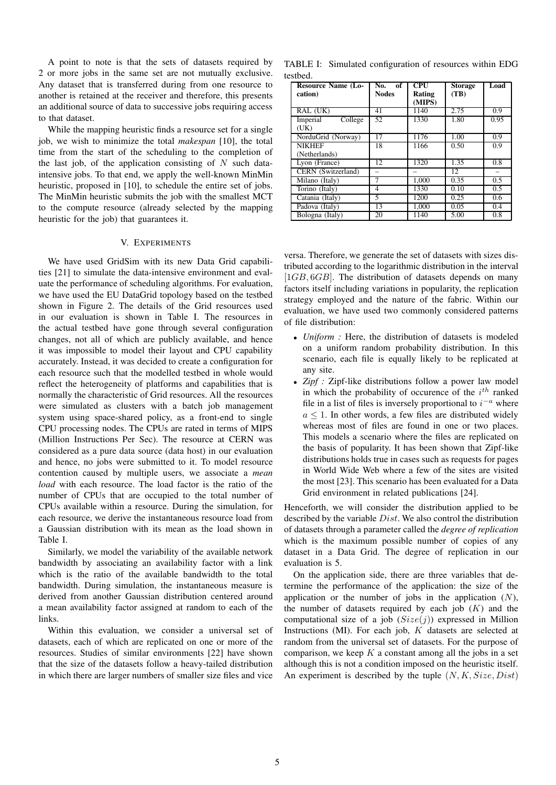A point to note is that the sets of datasets required by 2 or more jobs in the same set are not mutually exclusive. Any dataset that is transferred during from one resource to another is retained at the receiver and therefore, this presents an additional source of data to successive jobs requiring access to that dataset.

While the mapping heuristic finds a resource set for a single job, we wish to minimize the total *makespan* [10], the total time from the start of the scheduling to the completion of the last job, of the application consisting of  $N$  such dataintensive jobs. To that end, we apply the well-known MinMin heuristic, proposed in [10], to schedule the entire set of jobs. The MinMin heuristic submits the job with the smallest MCT to the compute resource (already selected by the mapping heuristic for the job) that guarantees it.

## V. EXPERIMENTS

We have used GridSim with its new Data Grid capabilities [21] to simulate the data-intensive environment and evaluate the performance of scheduling algorithms. For evaluation, we have used the EU DataGrid topology based on the testbed shown in Figure 2. The details of the Grid resources used in our evaluation is shown in Table I. The resources in the actual testbed have gone through several configuration changes, not all of which are publicly available, and hence it was impossible to model their layout and CPU capability accurately. Instead, it was decided to create a configuration for each resource such that the modelled testbed in whole would reflect the heterogeneity of platforms and capabilities that is normally the characteristic of Grid resources. All the resources were simulated as clusters with a batch job management system using space-shared policy, as a front-end to single CPU processing nodes. The CPUs are rated in terms of MIPS (Million Instructions Per Sec). The resource at CERN was considered as a pure data source (data host) in our evaluation and hence, no jobs were submitted to it. To model resource contention caused by multiple users, we associate a *mean load* with each resource. The load factor is the ratio of the number of CPUs that are occupied to the total number of CPUs available within a resource. During the simulation, for each resource, we derive the instantaneous resource load from a Gaussian distribution with its mean as the load shown in Table I.

Similarly, we model the variability of the available network bandwidth by associating an availability factor with a link which is the ratio of the available bandwidth to the total bandwidth. During simulation, the instantaneous measure is derived from another Gaussian distribution centered around a mean availability factor assigned at random to each of the links.

Within this evaluation, we consider a universal set of datasets, each of which are replicated on one or more of the resources. Studies of similar environments [22] have shown that the size of the datasets follow a heavy-tailed distribution in which there are larger numbers of smaller size files and vice

TABLE I: Simulated configuration of resources within EDG testbed.

| <b>Resource Name (Lo-</b><br>cation) | No.<br>of<br><b>Nodes</b> | <b>CPU</b><br>Rating | <b>Storage</b><br>(TB) | Load |
|--------------------------------------|---------------------------|----------------------|------------------------|------|
|                                      |                           | (MIPS)               |                        |      |
| RAL (UK)                             | 41                        | 1140                 | 2.75                   | 0.9  |
| College<br>Imperial                  | 52                        | 1330                 | 1.80                   | 0.95 |
| (UK)                                 |                           |                      |                        |      |
| NorduGrid (Norway)                   | 17                        | 1176                 | 1.00                   | 0.9  |
| <b>NIKHEF</b>                        | 18                        | 1166                 | 0.50                   | 0.9  |
| (Netherlands)                        |                           |                      |                        |      |
| Lyon (France)                        | 12                        | 1320                 | 1.35                   | 0.8  |
| <b>CERN</b> (Switzerland)            |                           |                      | 12                     |      |
| Milano (Italy)                       |                           | 1,000                | 0.35                   | 0.5  |
| Torino (Italy)                       | 4                         | 1330                 | 0.10                   | 0.5  |
| Catania (Italy)                      | 5                         | 1200                 | 0.25                   | 0.6  |
| Padova (Italy)                       | 13                        | 1,000                | 0.05                   | 0.4  |
| Bologna (Italy)                      | 20                        | 1140                 | 5.00                   | 0.8  |

versa. Therefore, we generate the set of datasets with sizes distributed according to the logarithmic distribution in the interval  $[1GB, 6GB]$ . The distribution of datasets depends on many factors itself including variations in popularity, the replication strategy employed and the nature of the fabric. Within our evaluation, we have used two commonly considered patterns of file distribution:

- *Uniform :* Here, the distribution of datasets is modeled on a uniform random probability distribution. In this scenario, each file is equally likely to be replicated at any site.
- *Zipf :* Zipf-like distributions follow a power law model in which the probability of occurence of the  $i<sup>th</sup>$  ranked file in a list of files is inversely proportional to  $i^{-a}$  where  $a \leq 1$ . In other words, a few files are distributed widely whereas most of files are found in one or two places. This models a scenario where the files are replicated on the basis of popularity. It has been shown that Zipf-like distributions holds true in cases such as requests for pages in World Wide Web where a few of the sites are visited the most [23]. This scenario has been evaluated for a Data Grid environment in related publications [24].

Henceforth, we will consider the distribution applied to be described by the variable Dist. We also control the distribution of datasets through a parameter called the *degree of replication* which is the maximum possible number of copies of any dataset in a Data Grid. The degree of replication in our evaluation is 5.

On the application side, there are three variables that determine the performance of the application: the size of the application or the number of jobs in the application  $(N)$ , the number of datasets required by each job  $(K)$  and the computational size of a job  $(Size(j))$  expressed in Million Instructions (MI). For each job, K datasets are selected at random from the universal set of datasets. For the purpose of comparison, we keep  $K$  a constant among all the jobs in a set although this is not a condition imposed on the heuristic itself. An experiment is described by the tuple  $(N, K, Size, Dist)$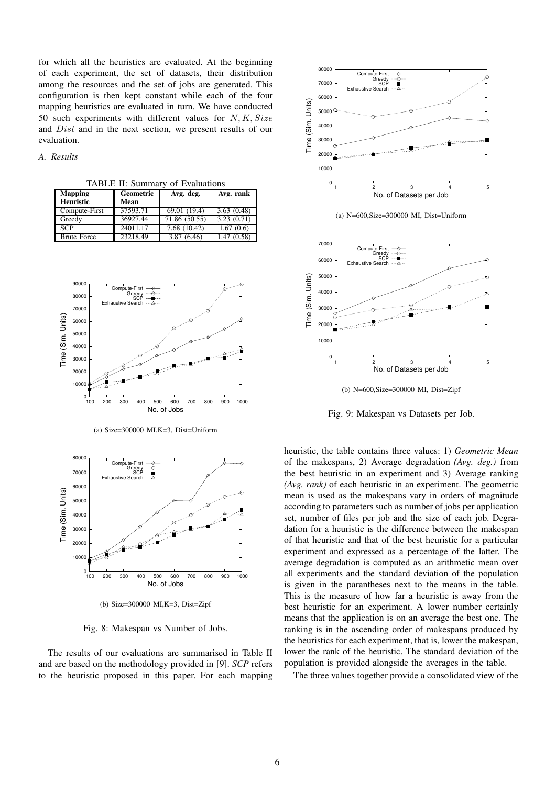for which all the heuristics are evaluated. At the beginning of each experiment, the set of datasets, their distribution among the resources and the set of jobs are generated. This configuration is then kept constant while each of the four mapping heuristics are evaluated in turn. We have conducted 50 such experiments with different values for  $N, K, Size$ and Dist and in the next section, we present results of our evaluation.

*A. Results*

TABLE II: Summary of Evaluations

| <b>Mapping</b><br><b>Heuristic</b> | Geometric<br>Mean | Avg. deg.     | Avg. rank  |
|------------------------------------|-------------------|---------------|------------|
| Compute-First                      | 37593.71          | 69.01 (19.4)  | 3.63(0.48) |
| Greedy                             | 36927.44          | 71.86 (50.55) | 3.23(0.71) |
| <b>SCP</b>                         | 24011.17          | 7.68(10.42)   | 1.67(0.6)  |
| <b>Brute Force</b>                 | 23218.49          | 3.87(6.46)    | 1.47(0.58) |



(a) Size=300000 MI, K=3, Dist=Uniform



(b) Size=300000 MI,K=3, Dist=Zipf

Fig. 8: Makespan vs Number of Jobs.

The results of our evaluations are summarised in Table II and are based on the methodology provided in [9]. *SCP* refers to the heuristic proposed in this paper. For each mapping



(a) N=600,Size=300000 MI, Dist=Uniform



(b) N=600,Size=300000 MI, Dist=Zipf

Fig. 9: Makespan vs Datasets per Job.

heuristic, the table contains three values: 1) *Geometric Mean* of the makespans, 2) Average degradation *(Avg. deg.)* from the best heuristic in an experiment and 3) Average ranking *(Avg. rank)* of each heuristic in an experiment. The geometric mean is used as the makespans vary in orders of magnitude according to parameters such as number of jobs per application set, number of files per job and the size of each job. Degradation for a heuristic is the difference between the makespan of that heuristic and that of the best heuristic for a particular experiment and expressed as a percentage of the latter. The average degradation is computed as an arithmetic mean over all experiments and the standard deviation of the population is given in the parantheses next to the means in the table. This is the measure of how far a heuristic is away from the best heuristic for an experiment. A lower number certainly means that the application is on an average the best one. The ranking is in the ascending order of makespans produced by the heuristics for each experiment, that is, lower the makespan, lower the rank of the heuristic. The standard deviation of the population is provided alongside the averages in the table.

The three values together provide a consolidated view of the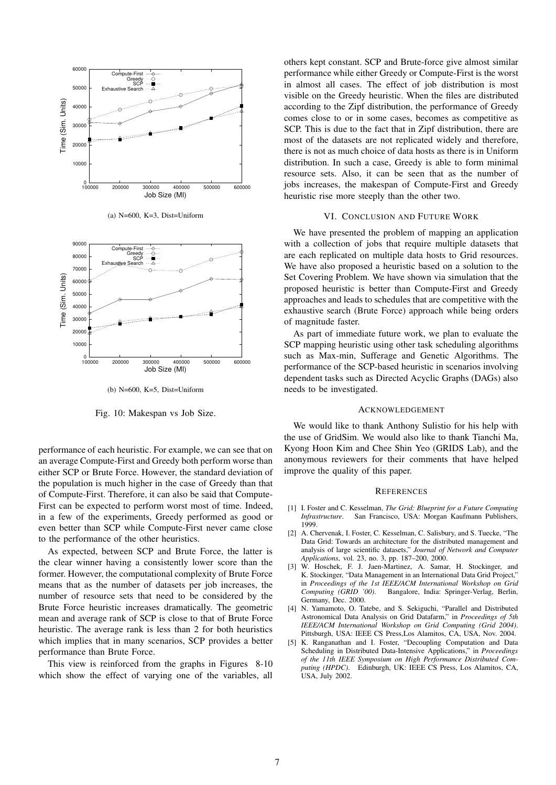

(a) N=600, K=3, Dist=Uniform



(b) N=600, K=5, Dist=Uniform

Fig. 10: Makespan vs Job Size.

performance of each heuristic. For example, we can see that on an average Compute-First and Greedy both perform worse than either SCP or Brute Force. However, the standard deviation of the population is much higher in the case of Greedy than that of Compute-First. Therefore, it can also be said that Compute-First can be expected to perform worst most of time. Indeed, in a few of the experiments, Greedy performed as good or even better than SCP while Compute-First never came close to the performance of the other heuristics.

As expected, between SCP and Brute Force, the latter is the clear winner having a consistently lower score than the former. However, the computational complexity of Brute Force means that as the number of datasets per job increases, the number of resource sets that need to be considered by the Brute Force heuristic increases dramatically. The geometric mean and average rank of SCP is close to that of Brute Force heuristic. The average rank is less than 2 for both heuristics which implies that in many scenarios, SCP provides a better performance than Brute Force.

This view is reinforced from the graphs in Figures 8-10 which show the effect of varying one of the variables, all

others kept constant. SCP and Brute-force give almost similar performance while either Greedy or Compute-First is the worst in almost all cases. The effect of job distribution is most visible on the Greedy heuristic. When the files are distributed according to the Zipf distribution, the performance of Greedy comes close to or in some cases, becomes as competitive as SCP. This is due to the fact that in Zipf distribution, there are most of the datasets are not replicated widely and therefore, there is not as much choice of data hosts as there is in Uniform distribution. In such a case, Greedy is able to form minimal resource sets. Also, it can be seen that as the number of jobs increases, the makespan of Compute-First and Greedy heuristic rise more steeply than the other two.

#### VI. CONCLUSION AND FUTURE WORK

We have presented the problem of mapping an application with a collection of jobs that require multiple datasets that are each replicated on multiple data hosts to Grid resources. We have also proposed a heuristic based on a solution to the Set Covering Problem. We have shown via simulation that the proposed heuristic is better than Compute-First and Greedy approaches and leads to schedules that are competitive with the exhaustive search (Brute Force) approach while being orders of magnitude faster.

As part of immediate future work, we plan to evaluate the SCP mapping heuristic using other task scheduling algorithms such as Max-min, Sufferage and Genetic Algorithms. The performance of the SCP-based heuristic in scenarios involving dependent tasks such as Directed Acyclic Graphs (DAGs) also needs to be investigated.

#### ACKNOWLEDGEMENT

We would like to thank Anthony Sulistio for his help with the use of GridSim. We would also like to thank Tianchi Ma, Kyong Hoon Kim and Chee Shin Yeo (GRIDS Lab), and the anonymous reviewers for their comments that have helped improve the quality of this paper.

#### **REFERENCES**

- [1] I. Foster and C. Kesselman, *The Grid: Blueprint for a Future Computing Infrastructure*. San Francisco, USA: Morgan Kaufmann Publishers, 1999.
- [2] A. Chervenak, I. Foster, C. Kesselman, C. Salisbury, and S. Tuecke, "The Data Grid: Towards an architecture for the distributed management and analysis of large scientific datasets," *Journal of Network and Computer Applications*, vol. 23, no. 3, pp. 187–200, 2000.
- [3] W. Hoschek, F. J. Jaen-Martinez, A. Samar, H. Stockinger, and K. Stockinger, "Data Management in an International Data Grid Project," in *Proceedings of the 1st IEEE/ACM International Workshop on Grid Computing (GRID '00)*. Bangalore, India: Springer-Verlag, Berlin, Germany, Dec. 2000.
- [4] N. Yamamoto, O. Tatebe, and S. Sekiguchi, "Parallel and Distributed Astronomical Data Analysis on Grid Datafarm," in *Proceedings of 5th IEEE/ACM International Workshop on Grid Computing (Grid 2004)*. Pittsburgh, USA: IEEE CS Press,Los Alamitos, CA, USA, Nov. 2004.
- [5] K. Ranganathan and I. Foster, "Decoupling Computation and Data Scheduling in Distributed Data-Intensive Applications," in *Proceedings of the 11th IEEE Symposium on High Performance Distributed Com-*Edinburgh, UK: IEEE CS Press, Los Alamitos, CA, USA, July 2002.